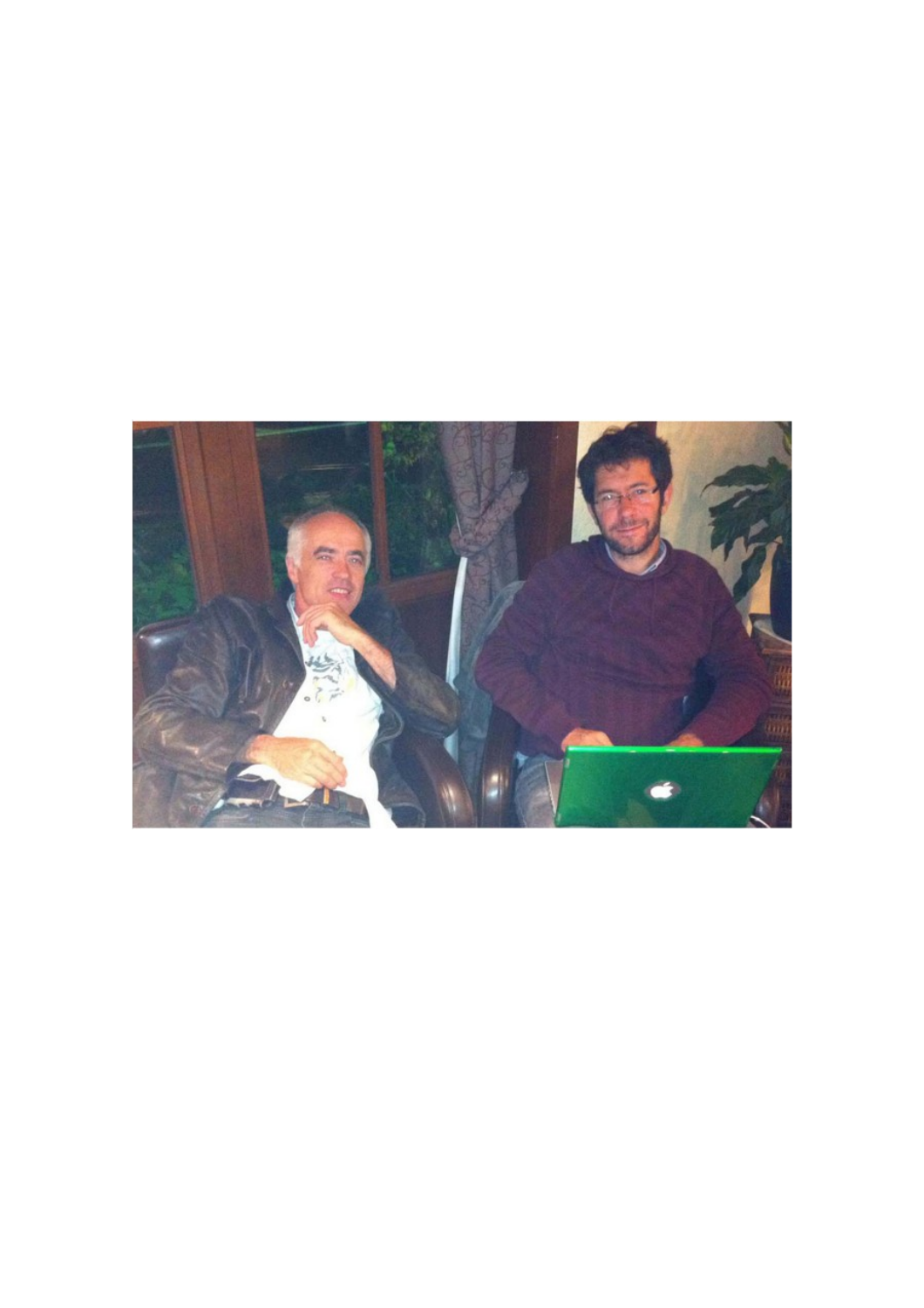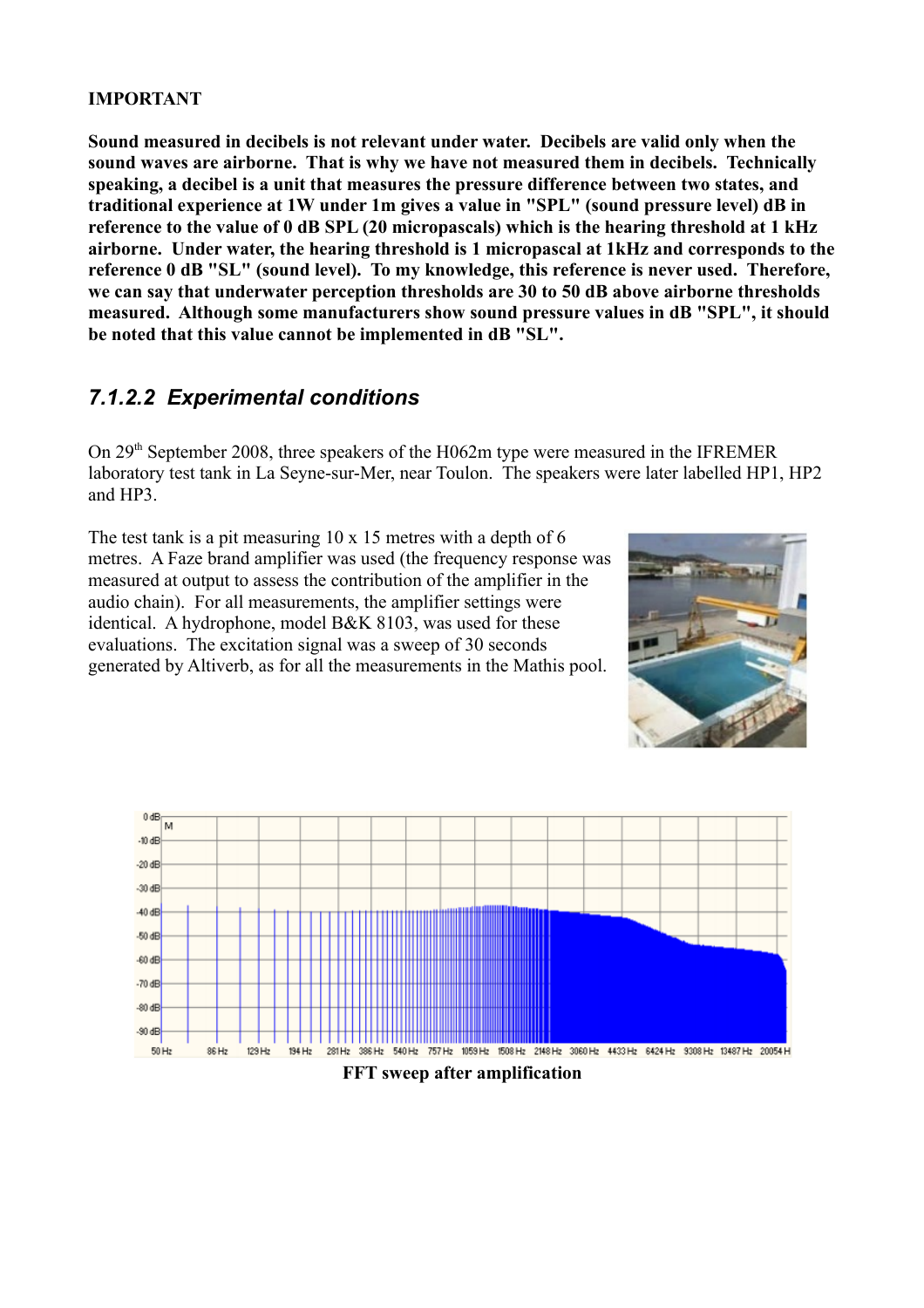#### **IMPORTANT**

**Sound measured in decibels is not relevant under water. Decibels are valid only when the sound waves are airborne. That is why we have not measured them in decibels. Technically speaking, a decibel is a unit that measures the pressure difference between two states, and traditional experience at 1W under 1m gives a value in "SPL" (sound pressure level) dB in reference to the value of 0 dB SPL (20 micropascals) which is the hearing threshold at 1 kHz airborne. Under water, the hearing threshold is 1 micropascal at 1kHz and corresponds to the reference 0 dB "SL" (sound level). To my knowledge, this reference is never used. Therefore, we can say that underwater perception thresholds are 30 to 50 dB above airborne thresholds measured. Although some manufacturers show sound pressure values in dB "SPL", it should be noted that this value cannot be implemented in dB "SL".**

## *7.1.2.2 Experimental conditions*

On 29<sup>th</sup> September 2008, three speakers of the H062m type were measured in the IFREMER laboratory test tank in La Seyne-sur-Mer, near Toulon. The speakers were later labelled HP1, HP2 and HP3.

The test tank is a pit measuring 10 x 15 metres with a depth of 6 metres. A Faze brand amplifier was used (the frequency response was measured at output to assess the contribution of the amplifier in the audio chain). For all measurements, the amplifier settings were identical. A hydrophone, model B&K 8103, was used for these evaluations. The excitation signal was a sweep of 30 seconds generated by Altiverb, as for all the measurements in the Mathis pool.



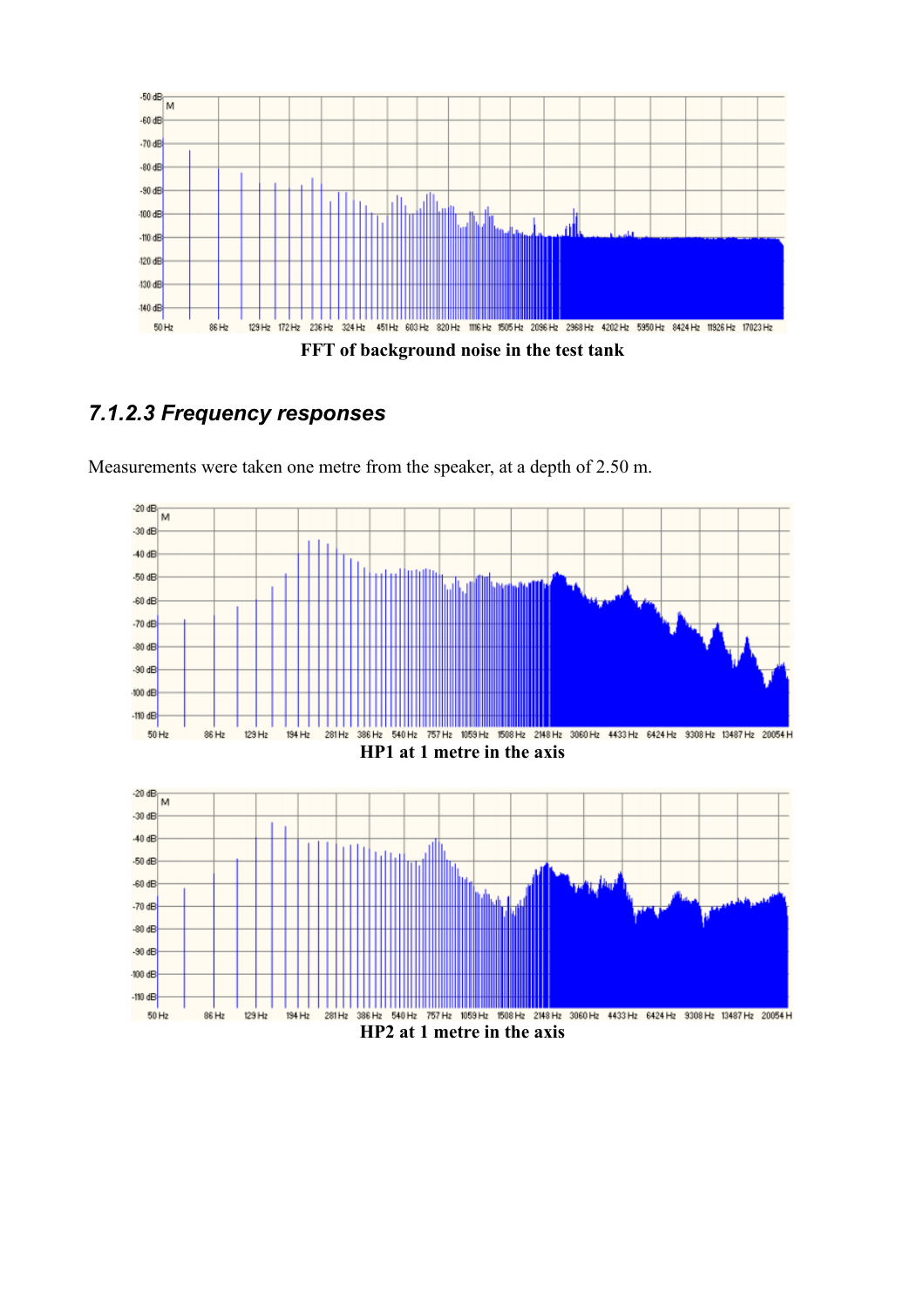

### *7.1.2.3 Frequency responses*



**HP2 at 1 metre in the axis**

Measurements were taken one metre from the speaker, at a depth of 2.50 m.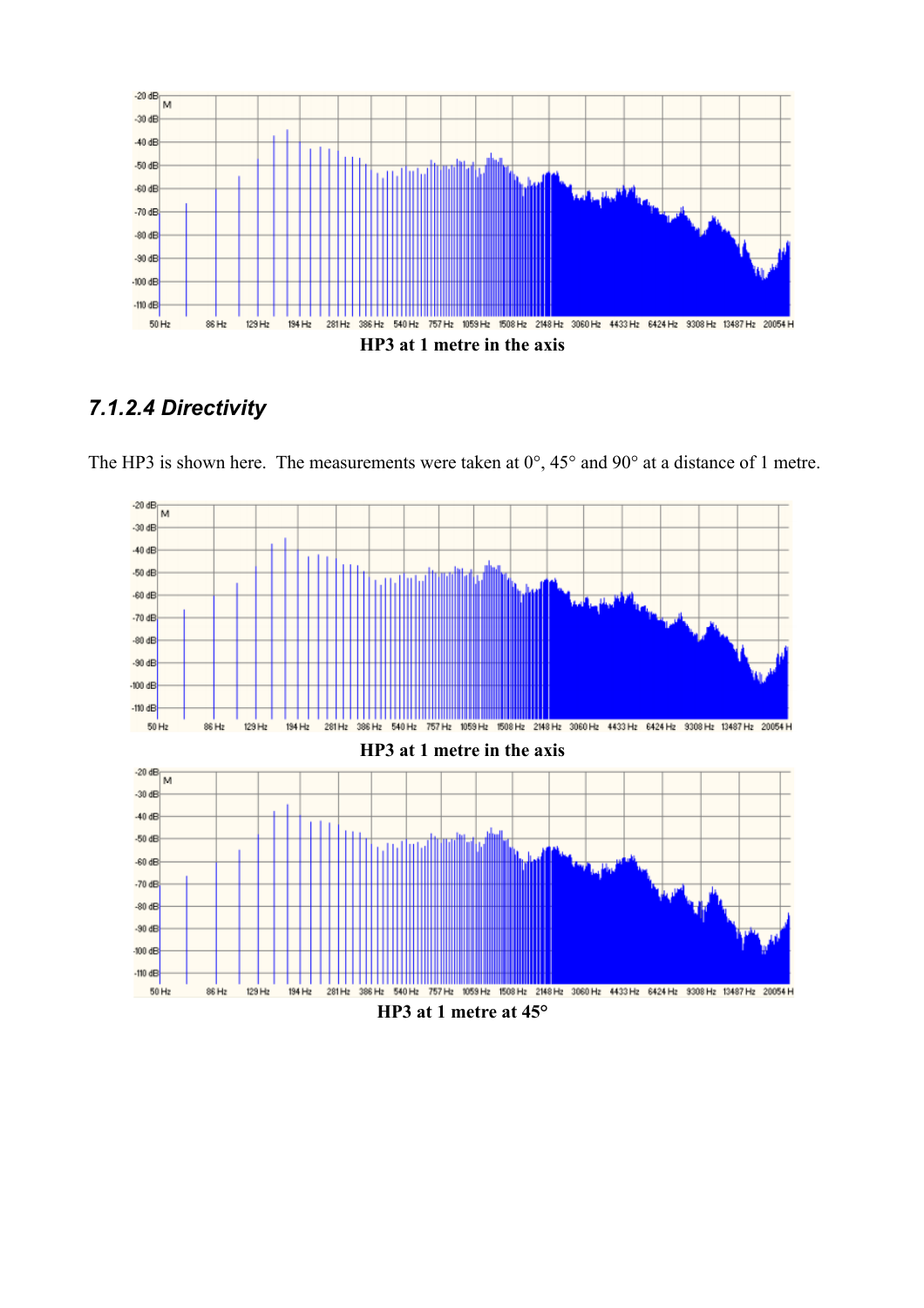

# *7.1.2.4 Directivity*



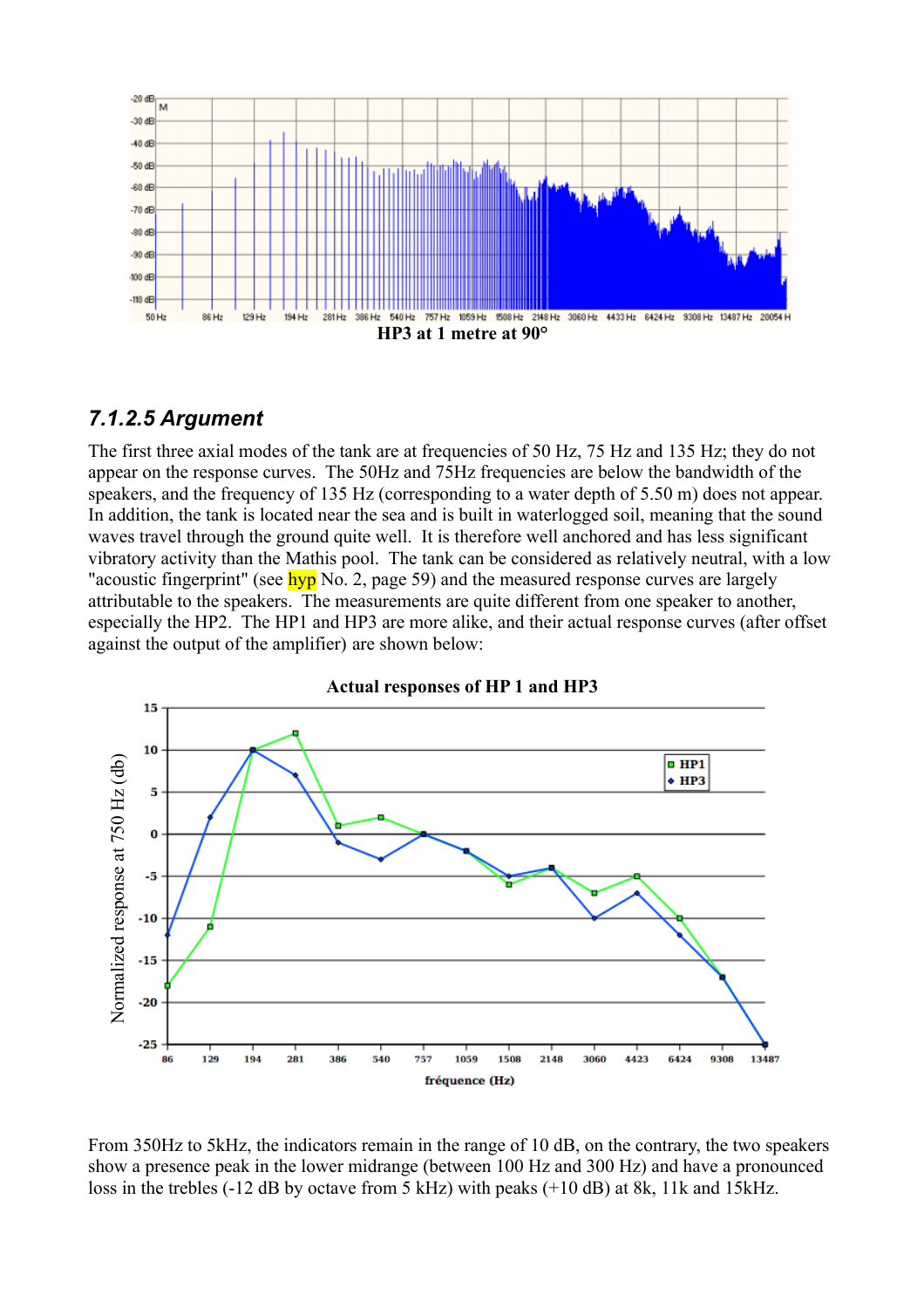

#### *7.1.2.5 Argument*

The first three axial modes of the tank are at frequencies of 50 Hz, 75 Hz and 135 Hz; they do not appear on the response curves. The 50Hz and 75Hz frequencies are below the bandwidth of the speakers, and the frequency of 135 Hz (corresponding to a water depth of 5.50 m) does not appear. In addition, the tank is located near the sea and is built in waterlogged soil, meaning that the sound waves travel through the ground quite well. It is therefore well anchored and has less significant vibratory activity than the Mathis pool. The tank can be considered as relatively neutral, with a low "acoustic fingerprint" (see hyp No. 2, page 59) and the measured response curves are largely attributable to the speakers. The measurements are quite different from one speaker to another, especially the HP2. The HP1 and HP3 are more alike, and their actual response curves (after offset against the output of the amplifier) are shown below:



From 350Hz to 5kHz, the indicators remain in the range of 10 dB, on the contrary, the two speakers show a presence peak in the lower midrange (between 100 Hz and 300 Hz) and have a pronounced loss in the trebles (-12 dB by octave from 5 kHz) with peaks (+10 dB) at 8k, 11k and 15kHz.